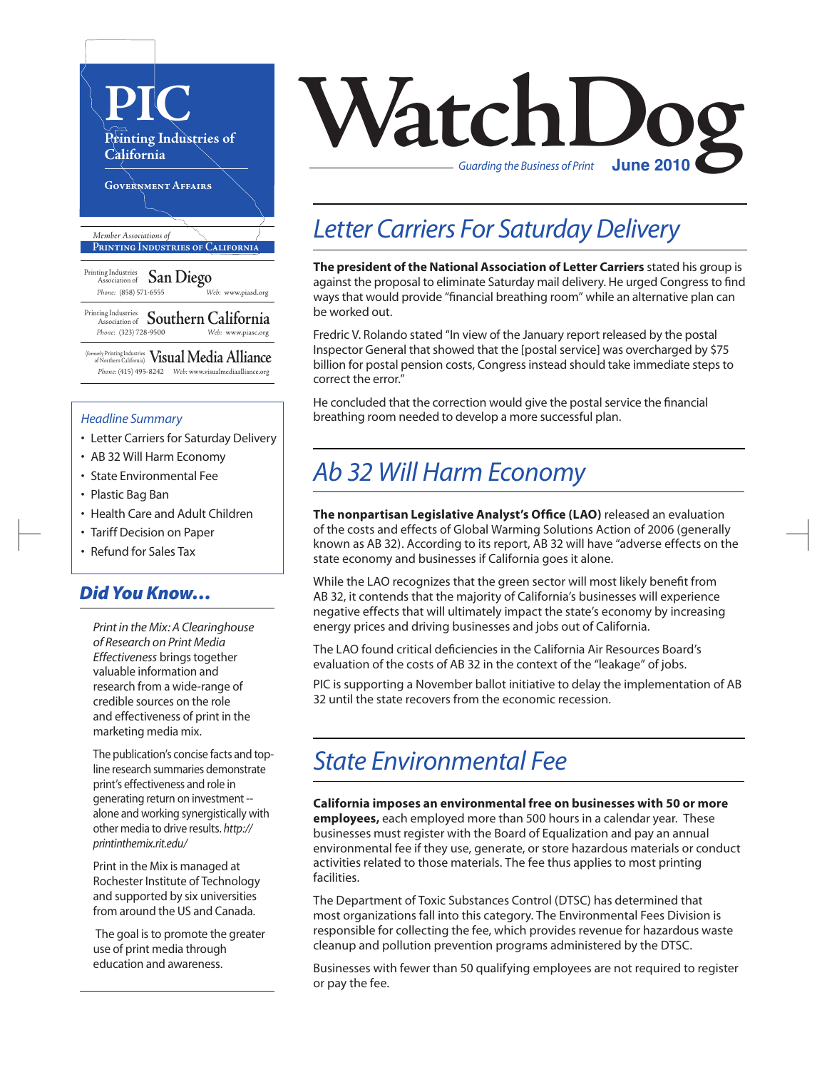

(formerly Printing Industries of Northern California) **VisualMedia Alliance**  *Phone:* (415) 495-8242 *Web:* www.visualmediaalliance.org

#### *Headline Summary*

- Letter Carriers for Saturday Delivery
- AB 32 Will Harm Economy
- State Environmental Fee
- Plastic Bag Ban
- Health Care and Adult Children
- Tariff Decision on Paper
- Refund for Sales Tax

### *Did You Know…*

*Print in the Mix: A Clearinghouse of Research on Print Media Effectiveness* brings together valuable information and research from a wide-range of credible sources on the role and effectiveness of print in the marketing media mix.

The publication's concise facts and topline research summaries demonstrate print's effectiveness and role in generating return on investment - alone and working synergistically with other media to drive results. *http:// printinthemix.rit.edu/*

Print in the Mix is managed at Rochester Institute of Technology and supported by six universities from around the US and Canada.

 The goal is to promote the greater use of print media through education and awareness.



### *Letter Carriers For Saturday Delivery*

**The president of the National Association of Letter Carriers** stated his group is against the proposal to eliminate Saturday mail delivery. He urged Congress to find ways that would provide "financial breathing room" while an alternative plan can be worked out.

Fredric V. Rolando stated "In view of the January report released by the postal Inspector General that showed that the [postal service] was overcharged by \$75 billion for postal pension costs, Congress instead should take immediate steps to correct the error."

He concluded that the correction would give the postal service the financial breathing room needed to develop a more successful plan.

## *Ab 32 Will Harm Economy*

**The nonpartisan Legislative Analyst's Office (LAO)** released an evaluation of the costs and effects of Global Warming Solutions Action of 2006 (generally known as AB 32). According to its report, AB 32 will have "adverse effects on the state economy and businesses if California goes it alone.

While the LAO recognizes that the green sector will most likely benefit from AB 32, it contends that the majority of California's businesses will experience negative effects that will ultimately impact the state's economy by increasing energy prices and driving businesses and jobs out of California.

The LAO found critical deficiencies in the California Air Resources Board's evaluation of the costs of AB 32 in the context of the "leakage" of jobs.

PIC is supporting a November ballot initiative to delay the implementation of AB 32 until the state recovers from the economic recession.

## *State Environmental Fee*

**California imposes an environmental free on businesses with 50 or more employees,** each employed more than 500 hours in a calendar year. These businesses must register with the Board of Equalization and pay an annual environmental fee if they use, generate, or store hazardous materials or conduct activities related to those materials. The fee thus applies to most printing facilities.

The Department of Toxic Substances Control (DTSC) has determined that most organizations fall into this category. The Environmental Fees Division is responsible for collecting the fee, which provides revenue for hazardous waste cleanup and pollution prevention programs administered by the DTSC.

Businesses with fewer than 50 qualifying employees are not required to register or pay the fee.